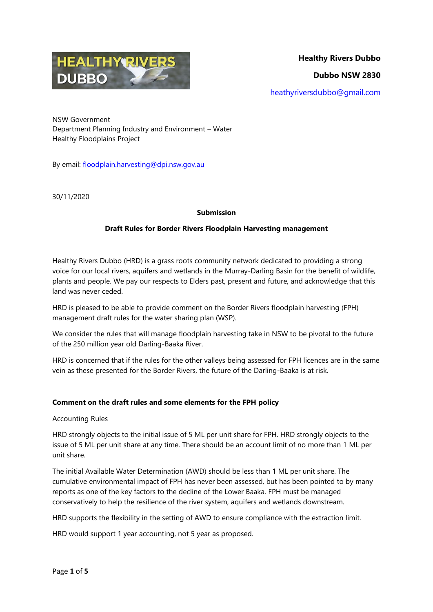

NSW Government Department Planning Industry and Environment – Water Healthy Floodplains Project

By email: [floodplain.harvesting@dpi.nsw.gov.au](mailto:floodplain.harvesting@dpi.nsw.gov.au)

30/11/2020

### **Submission**

### **Draft Rules for Border Rivers Floodplain Harvesting management**

Healthy Rivers Dubbo (HRD) is a grass roots community network dedicated to providing a strong voice for our local rivers, aquifers and wetlands in the Murray-Darling Basin for the benefit of wildlife, plants and people. We pay our respects to Elders past, present and future, and acknowledge that this land was never ceded.

HRD is pleased to be able to provide comment on the Border Rivers floodplain harvesting (FPH) management draft rules for the water sharing plan (WSP).

We consider the rules that will manage floodplain harvesting take in NSW to be pivotal to the future of the 250 million year old Darling-Baaka River.

HRD is concerned that if the rules for the other valleys being assessed for FPH licences are in the same vein as these presented for the Border Rivers, the future of the Darling-Baaka is at risk.

### **Comment on the draft rules and some elements for the FPH policy**

#### Accounting Rules

HRD strongly objects to the initial issue of 5 ML per unit share for FPH. HRD strongly objects to the issue of 5 ML per unit share at any time. There should be an account limit of no more than 1 ML per unit share.

The initial Available Water Determination (AWD) should be less than 1 ML per unit share. The cumulative environmental impact of FPH has never been assessed, but has been pointed to by many reports as one of the key factors to the decline of the Lower Baaka. FPH must be managed conservatively to help the resilience of the river system, aquifers and wetlands downstream.

HRD supports the flexibility in the setting of AWD to ensure compliance with the extraction limit.

HRD would support 1 year accounting, not 5 year as proposed.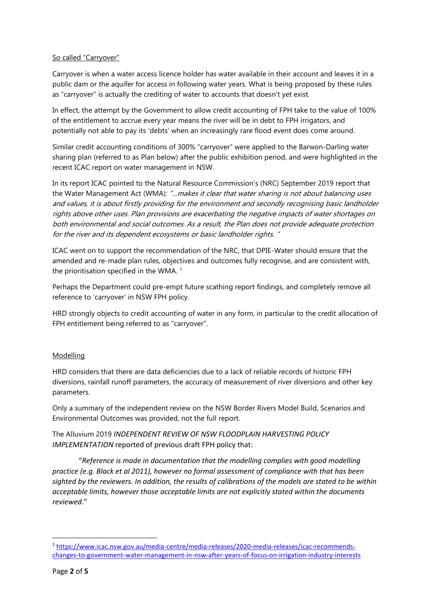## So called "Carryover"

Carryover is when a water access licence holder has water available in their account and leaves it in a public dam or the aquifer for access in following water years. What is being proposed by these rules as "carryover" is actually the crediting of water to accounts that doesn't yet exist.

In effect, the attempt by the Government to allow credit accounting of FPH take to the value of 100% of the entitlement to accrue every year means the river will be in debt to FPH irrigators, and potentially not able to pay its 'debts' when an increasingly rare flood event does come around.

Similar credit accounting conditions of 300% "carryover" were applied to the Barwon-Darling water sharing plan (referred to as Plan below) after the public exhibition period, and were highlighted in the recent ICAC report on water management in NSW.

In its report ICAC pointed to the Natural Resource Commission's (NRC) September 2019 report that the Water Management Act (WMA): "...makes it clear that water sharing is not about balancing uses and values, it is about firstly providing for the environment and secondly recognising basic landholder rights above other uses. Plan provisions are exacerbating the negative impacts of water shortages on both environmental and social outcomes. As a result, the Plan does not provide adequate protection for the river and its dependent ecosystems or basic landholder rights. "

ICAC went on to support the recommendation of the NRC, that DPIE-Water should ensure that the amended and re-made plan rules, objectives and outcomes fully recognise, and are consistent with, the prioritisation specified in the WMA.  $1$ 

Perhaps the Department could pre-empt future scathing report findings, and completely remove all reference to 'carryover' in NSW FPH policy.

HRD strongly objects to credit accounting of water in any form, in particular to the credit allocation of FPH entitlement being referred to as "carryover".

### Modelling

HRD considers that there are data deficiencies due to a lack of reliable records of historic FPH diversions, rainfall runoff parameters, the accuracy of measurement of river diversions and other key parameters.

Only a summary of the independent review on the NSW Border Rivers Model Build, Scenarios and Environmental Outcomes was provided, not the full report.

The Alluvium 2019 *INDEPENDENT REVIEW OF NSW FLOODPLAIN HARVESTING POLICY IMPLEMENTATION* reported of previous draft FPH policy that:

"*Reference is made in documentation that the modelling complies with good modelling practice (e.g. Black et al 2011), however no formal assessment of compliance with that has been sighted by the reviewers. In addition, the results of calibrations of the models are stated to be within acceptable limits, however those acceptable limits are not explicitly stated within the documents reviewed*."

**.** 

<sup>1</sup> [https://www.icac.nsw.gov.au/media-centre/media-releases/2020-media-releases/icac-recommends](https://www.icac.nsw.gov.au/media-centre/media-releases/2020-media-releases/icac-recommends-changes-to-government-water-management-in-nsw-after-years-of-focus-on-irrigation-industry-interests)[changes-to-government-water-management-in-nsw-after-years-of-focus-on-irrigation-industry-interests](https://www.icac.nsw.gov.au/media-centre/media-releases/2020-media-releases/icac-recommends-changes-to-government-water-management-in-nsw-after-years-of-focus-on-irrigation-industry-interests)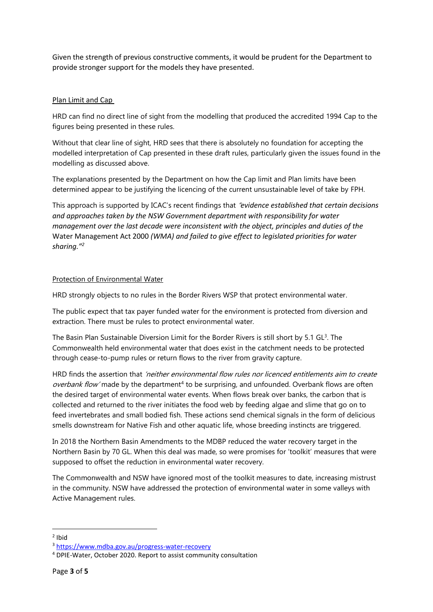Given the strength of previous constructive comments, it would be prudent for the Department to provide stronger support for the models they have presented.

## Plan Limit and Cap

HRD can find no direct line of sight from the modelling that produced the accredited 1994 Cap to the figures being presented in these rules.

Without that clear line of sight, HRD sees that there is absolutely no foundation for accepting the modelled interpretation of Cap presented in these draft rules, particularly given the issues found in the modelling as discussed above.

The explanations presented by the Department on how the Cap limit and Plan limits have been determined appear to be justifying the licencing of the current unsustainable level of take by FPH.

This approach is supported by ICAC's recent findings that "*evidence established that certain decisions and approaches taken by the NSW Government department with responsibility for water management over the last decade were inconsistent with the object, principles and duties of the*  Water Management Act 2000 *(WMA) and failed to give effect to legislated priorities for water sharing." 2*

### Protection of Environmental Water

HRD strongly objects to no rules in the Border Rivers WSP that protect environmental water.

The public expect that tax payer funded water for the environment is protected from diversion and extraction. There must be rules to protect environmental water.

The Basin Plan Sustainable Diversion Limit for the Border Rivers is still short by 5.1 GL<sup>3</sup>. The Commonwealth held environmental water that does exist in the catchment needs to be protected through cease-to-pump rules or return flows to the river from gravity capture.

HRD finds the assertion that 'neither environmental flow rules nor licenced entitlements aim to create overbank flow' made by the department<sup>4</sup> to be surprising, and unfounded. Overbank flows are often the desired target of environmental water events. When flows break over banks, the carbon that is collected and returned to the river initiates the food web by feeding algae and slime that go on to feed invertebrates and small bodied fish. These actions send chemical signals in the form of delicious smells downstream for Native Fish and other aquatic life, whose breeding instincts are triggered.

In 2018 the Northern Basin Amendments to the MDBP reduced the water recovery target in the Northern Basin by 70 GL. When this deal was made, so were promises for 'toolkit' measures that were supposed to offset the reduction in environmental water recovery.

The Commonwealth and NSW have ignored most of the toolkit measures to date, increasing mistrust in the community. NSW have addressed the protection of environmental water in some valleys with Active Management rules.

**.** 

<sup>2</sup> Ibid

<sup>3</sup> <https://www.mdba.gov.au/progress-water-recovery>

<sup>4</sup> DPIE-Water, October 2020. Report to assist community consultation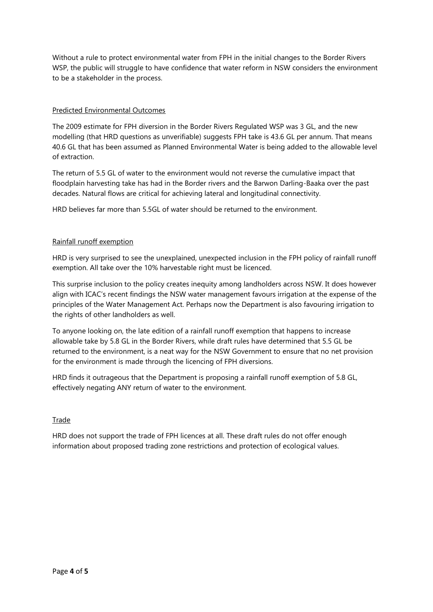Without a rule to protect environmental water from FPH in the initial changes to the Border Rivers WSP, the public will struggle to have confidence that water reform in NSW considers the environment to be a stakeholder in the process.

## Predicted Environmental Outcomes

The 2009 estimate for FPH diversion in the Border Rivers Regulated WSP was 3 GL, and the new modelling (that HRD questions as unverifiable) suggests FPH take is 43.6 GL per annum. That means 40.6 GL that has been assumed as Planned Environmental Water is being added to the allowable level of extraction.

The return of 5.5 GL of water to the environment would not reverse the cumulative impact that floodplain harvesting take has had in the Border rivers and the Barwon Darling-Baaka over the past decades. Natural flows are critical for achieving lateral and longitudinal connectivity.

HRD believes far more than 5.5GL of water should be returned to the environment.

## Rainfall runoff exemption

HRD is very surprised to see the unexplained, unexpected inclusion in the FPH policy of rainfall runoff exemption. All take over the 10% harvestable right must be licenced.

This surprise inclusion to the policy creates inequity among landholders across NSW. It does however align with ICAC's recent findings the NSW water management favours irrigation at the expense of the principles of the Water Management Act. Perhaps now the Department is also favouring irrigation to the rights of other landholders as well.

To anyone looking on, the late edition of a rainfall runoff exemption that happens to increase allowable take by 5.8 GL in the Border Rivers, while draft rules have determined that 5.5 GL be returned to the environment, is a neat way for the NSW Government to ensure that no net provision for the environment is made through the licencing of FPH diversions.

HRD finds it outrageous that the Department is proposing a rainfall runoff exemption of 5.8 GL, effectively negating ANY return of water to the environment.

# Trade

HRD does not support the trade of FPH licences at all. These draft rules do not offer enough information about proposed trading zone restrictions and protection of ecological values.